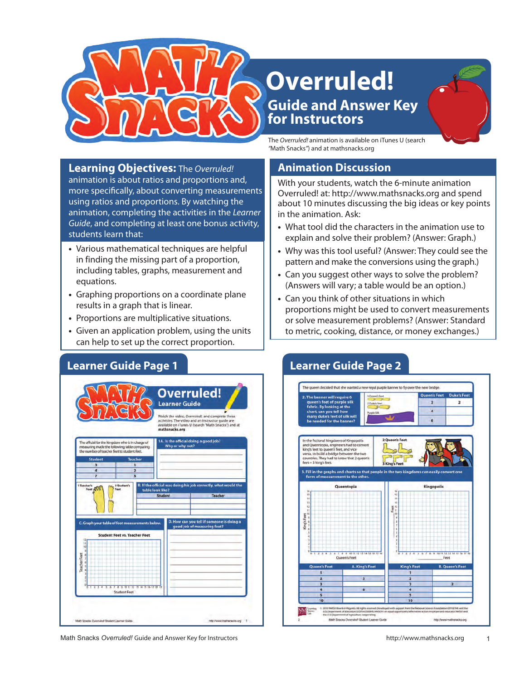

# **Guide and Answer Key for Instructors Overruled!**

The *Overruled!* animation is available on iTunes U (search *"*Math Snacks*"*) and at mathsnacks.org

**Learning Objectives:** The *Overruled!*  animation is about ratios and proportions and, more specifically, about converting measurements using ratios and proportions. By watching the animation, completing the activities in the *Learner Guide*, and completing at least one bonus activity, students learn that:

- **•**  Various mathematical techniques are helpful in finding the missing part of a proportion, including tables, graphs, measurement and equations.
- **•**  Graphing proportions on a coordinate plane results in a graph that is linear.
- **•**  Proportions are multiplicative situations.
- **•**  Given an application problem, using the units can help to set up the correct proportion.



Math Snacks Overruled! Guide and Answer Key for Instructors http://www.mathsnacks.org 1

## **Animation Discussion**

With your students, watch the 6-minute animation Overruled! at: http://www.mathsnacks.org and spend about 10 minutes discussing the big ideas or key points in the animation. Ask:

- What tool did the characters in the animation use to explain and solve their problem? (Answer: Graph.)
- **•**  Why was this tool useful? (Answer: They could see the pattern and make the conversions using the graph.)
- **•**  Can you suggest other ways to solve the problem? (Answers will vary; a table would be an option.)
- **•**  Can you think of other situations in which proportions might be used to convert measurements or solve measurement problems? (Answer: Standard to metric, cooking, distance, or money exchanges.)



# **Learner Guide Page 1 Learner Guide Page 2**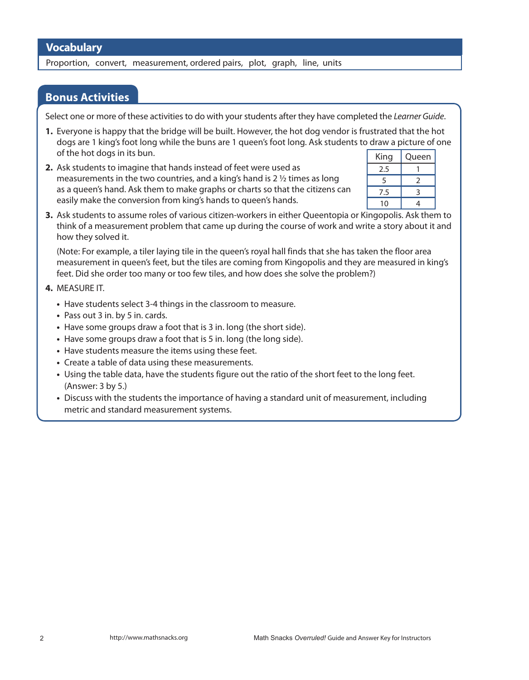Proportion, convert, measurement, ordered pairs, plot, graph, line, units

### **Bonus Activities**

Select one or more of these activities to do with your students after they have completed the *Learner Guide*.

- **1.** Everyone is happy that the bridge will be built. However, the hot dog vendor is frustrated that the hot dogs are 1 king's foot long while the buns are 1 queen's foot long. Ask students to draw a picture of one of the hot dogs in its bun.
- **2.** Ask students to imagine that hands instead of feet were used as measurements in the two countries, and a king's hand is 2  $\frac{1}{2}$  times as long as a queen's hand. Ask them to make graphs or charts so that the citizens can easily make the conversion from king's hands to queen's hands.

| King | Queen |
|------|-------|
| 2.5  |       |
| 5    | 2     |
| 7.5  | ੨     |
| 10   |       |

**3.** Ask students to assume roles of various citizen-workers in either Queentopia or Kingopolis. Ask them to think of a measurement problem that came up during the course of work and write a story about it and how they solved it.

(Note: For example, a tiler laying tile in the queen's royal hall finds that she has taken the floor area measurement in queen's feet, but the tiles are coming from Kingopolis and they are measured in king's feet. Did she order too many or too few tiles, and how does she solve the problem?)

### **4.** MEASURE IT.

- Have students select 3-4 things in the classroom to measure.
- **•**  Pass out 3 in. by 5 in. cards.
- Have some groups draw a foot that is 3 in. long (the short side).
- Have some groups draw a foot that is 5 in. long (the long side).
- **•**  Have students measure the items using these feet.
- **•**  Create a table of data using these measurements.
- Using the table data, have the students figure out the ratio of the short feet to the long feet. (Answer: 3 by 5.)
- **•**  Discuss with the students the importance of having a standard unit of measurement, including metric and standard measurement systems.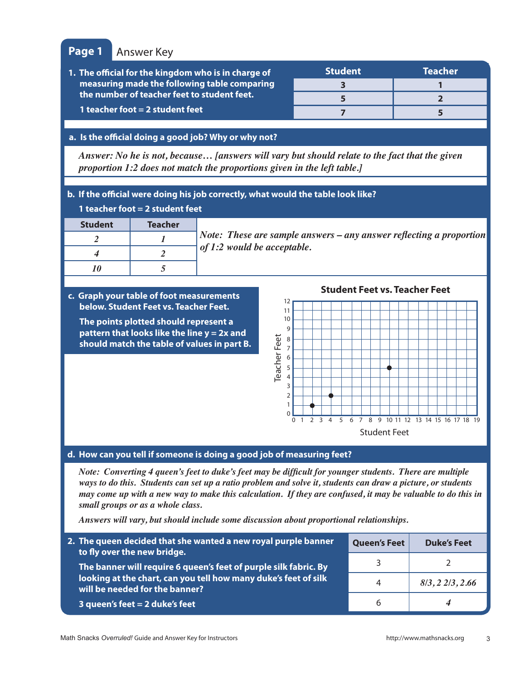### **Page 1** Answer Key

| 1. The official for the kingdom who is in charge of                                                                              | <b>Student</b> | <b>Teacher</b> |
|----------------------------------------------------------------------------------------------------------------------------------|----------------|----------------|
| measuring made the following table comparing<br>the number of teacher feet to student feet.<br>1 teacher foot $=$ 2 student feet |                |                |
|                                                                                                                                  |                |                |
|                                                                                                                                  |                |                |

### **a. Is the official doing a good job? Why or why not?**

*Answer: No he is not, because… [answers will vary but should relate to the fact that the given proportion 1:2 does not match the proportions given in the left table.]*

### **b. If the official were doing his job correctly, what would the table look like?**

| 1 teacher foot $=$ 2 student feet |         |                                                                     |
|-----------------------------------|---------|---------------------------------------------------------------------|
| <b>Student</b>                    | Teacher |                                                                     |
|                                   |         | Note: These are sample answers – any answer reflecting a proportion |
|                                   |         | of 1:2 would be acceptable.                                         |
|                                   |         |                                                                     |
|                                   |         |                                                                     |

### **c. Graph your table of foot measurements below. Student Feet vs. Teacher Feet.**

**The points plotted should represent a pattern that looks like the line y = 2x and should match the table of values in part B.**

**Student Feet vs. Teacher Feet**



### **d. How can you tell if someone is doing a good job of measuring feet?**

*Note: Converting 4 queen's feet to duke's feet may be difficult for younger students. There are multiple ways to do this. Students can set up a ratio problem and solve it, students can draw a picture, or students may come up with a new way to make this calculation. If they are confused, it may be valuable to do this in small groups or as a whole class.*

*Answers will vary, but should include some discussion about proportional relationships.*

| 2. The queen decided that she wanted a new royal purple banner<br>to fly over the new bridge.                                                                         | <b>Queen's Feet</b> | <b>Duke's Feet</b> |
|-----------------------------------------------------------------------------------------------------------------------------------------------------------------------|---------------------|--------------------|
| The banner will require 6 queen's feet of purple silk fabric. By<br>looking at the chart, can you tell how many duke's feet of silk<br>will be needed for the banner? |                     |                    |
|                                                                                                                                                                       | 4                   | 8/3, 22/3, 2.66    |
| 3 queen's feet $= 2$ duke's feet                                                                                                                                      | h                   | 4                  |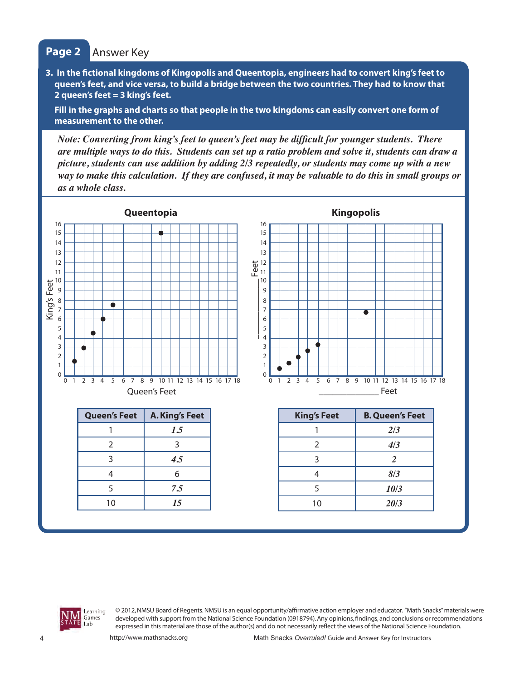# **Page 2** Answer Key

**3. In the fictional kingdoms of Kingopolis and Queentopia, engineers had to convert king's feet to queen's feet, and vice versa, to build a bridge between the two countries. They had to know that 2 queen's feet = 3 king's feet.**

**Fill in the graphs and charts so that people in the two kingdoms can easily convert one form of measurement to the other.**

*Note: Converting from king's feet to queen's feet may be difficult for younger students. There are multiple ways to do this. Students can set up a ratio problem and solve it, students can draw a picture, students can use addition by adding 2/3 repeatedly, or students may come up with a new way to make this calculation. If they are confused, it may be valuable to do this in small groups or as a whole class.* 





© 2012, NMSU Board of Regents. NMSU is an equal opportunity/affirmative action employer and educator. "Math Snacks" materials were developed with support from the National Science Foundation (0918794). Any opinions, findings, and conclusions or recommendations expressed in this material are those of the author(s) and do not necessarily reflect the views of the National Science Foundation.